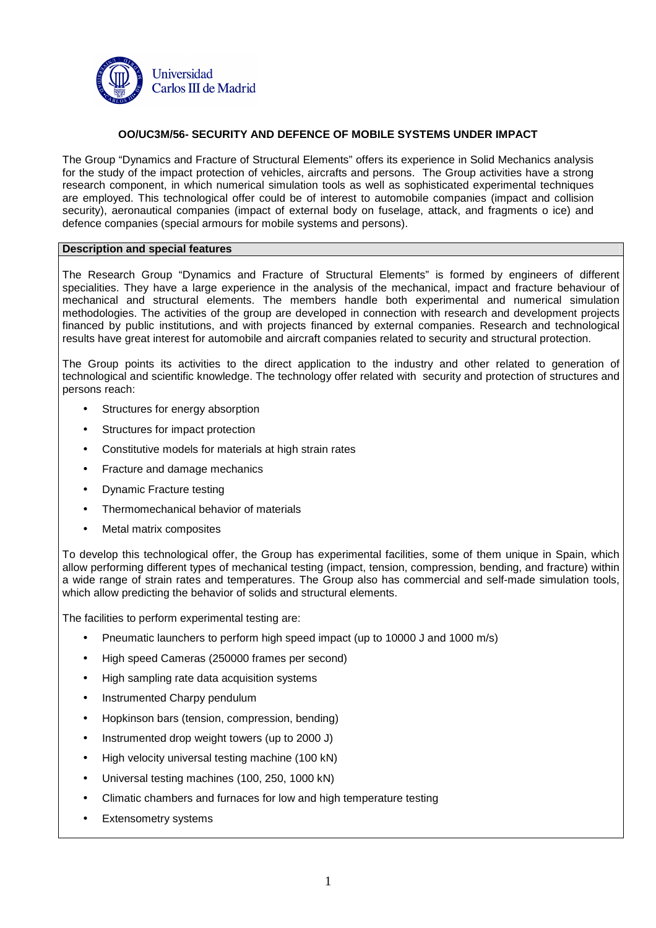

# **OO/UC3M/56- SECURITY AND DEFENCE OF MOBILE SYSTEMS UNDER IMPACT**

The Group "Dynamics and Fracture of Structural Elements" offers its experience in Solid Mechanics analysis for the study of the impact protection of vehicles, aircrafts and persons. The Group activities have a strong research component, in which numerical simulation tools as well as sophisticated experimental techniques are employed. This technological offer could be of interest to automobile companies (impact and collision security), aeronautical companies (impact of external body on fuselage, attack, and fragments o ice) and defence companies (special armours for mobile systems and persons).

## **Description and special features**

The Research Group "Dynamics and Fracture of Structural Elements" is formed by engineers of different specialities. They have a large experience in the analysis of the mechanical, impact and fracture behaviour of mechanical and structural elements. The members handle both experimental and numerical simulation methodologies. The activities of the group are developed in connection with research and development projects financed by public institutions, and with projects financed by external companies. Research and technological results have great interest for automobile and aircraft companies related to security and structural protection.

The Group points its activities to the direct application to the industry and other related to generation of technological and scientific knowledge. The technology offer related with security and protection of structures and persons reach:

- Structures for energy absorption
- Structures for impact protection
- Constitutive models for materials at high strain rates
- Fracture and damage mechanics
- Dynamic Fracture testing
- Thermomechanical behavior of materials
- Metal matrix composites

To develop this technological offer, the Group has experimental facilities, some of them unique in Spain, which allow performing different types of mechanical testing (impact, tension, compression, bending, and fracture) within a wide range of strain rates and temperatures. The Group also has commercial and self-made simulation tools, which allow predicting the behavior of solids and structural elements.

The facilities to perform experimental testing are:

- Pneumatic launchers to perform high speed impact (up to 10000 J and 1000 m/s)
- High speed Cameras (250000 frames per second)
- High sampling rate data acquisition systems
- Instrumented Charpy pendulum
- Hopkinson bars (tension, compression, bending)
- Instrumented drop weight towers (up to 2000 J)
- High velocity universal testing machine (100 kN)
- Universal testing machines (100, 250, 1000 kN)
- Climatic chambers and furnaces for low and high temperature testing
- Extensometry systems